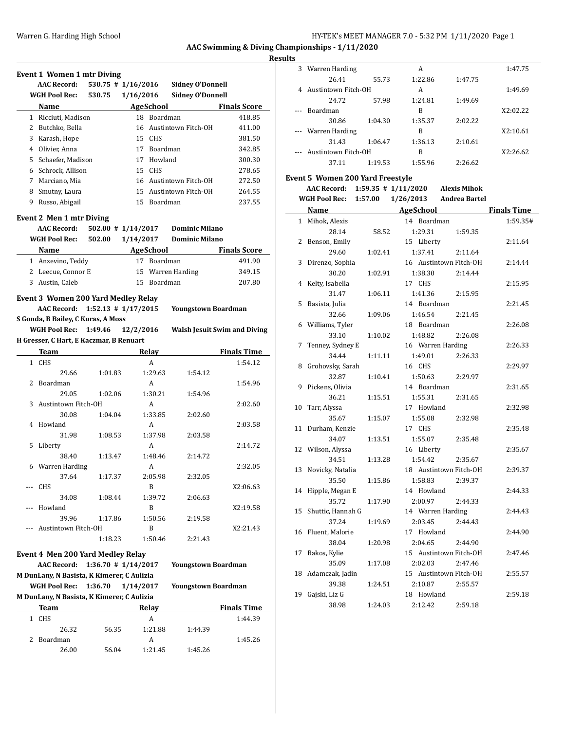#### **Results**

|     | <b>Event 1 Women 1 mtr Diving</b>          |                         |           |                  |                            |                                     |
|-----|--------------------------------------------|-------------------------|-----------|------------------|----------------------------|-------------------------------------|
|     | <b>AAC Record:</b>                         | $530.75$ # $1/16/2016$  |           |                  | <b>Sidney O'Donnell</b>    |                                     |
|     | <b>WGH Pool Rec:</b>                       | 530.75                  | 1/16/2016 |                  | <b>Sidney O'Donnell</b>    |                                     |
|     | <b>Name</b>                                |                         |           | <b>AgeSchool</b> |                            | <b>Finals Score</b>                 |
|     | 1 Ricciuti, Madison                        |                         |           | 18 Boardman      |                            | 418.85                              |
|     | 2 Butchko, Bella                           |                         |           |                  | 16 Austintown Fitch-OH     | 411.00                              |
|     | 3 Karash, Hope                             |                         |           | 15 CHS           |                            | 381.50                              |
|     | 4 Olivier, Anna                            |                         |           | 17 Boardman      |                            | 342.85                              |
|     | 5 Schaefer, Madison                        |                         |           | 17 Howland       |                            | 300.30                              |
|     | 6 Schrock, Allison                         |                         |           | 15 CHS           |                            | 278.65                              |
|     | 7 Marciano, Mia                            |                         |           |                  | 16 Austintown Fitch-OH     | 272.50                              |
|     | 8 Smutny, Laura                            |                         |           |                  | 15 Austintown Fitch-OH     | 264.55                              |
| 9   | Russo, Abigail                             |                         |           | 15 Boardman      |                            | 237.55                              |
|     | <b>Event 2 Men 1 mtr Diving</b>            |                         |           |                  |                            |                                     |
|     | <b>AAC Record:</b>                         | $502.00$ # $1/14/2017$  |           |                  | <b>Dominic Milano</b>      |                                     |
|     | <b>WGH Pool Rec:</b>                       | 502.00                  | 1/14/2017 |                  | <b>Dominic Milano</b>      |                                     |
|     | Name                                       |                         |           | <b>AgeSchool</b> |                            | <b>Finals Score</b>                 |
|     | 1 Anzevino, Teddy                          |                         |           | 17 Boardman      |                            | 491.90                              |
|     | 2 Leecue, Connor E                         |                         |           |                  | 15 Warren Harding          | 349.15                              |
|     | 3 Austin, Caleb                            |                         |           | 15 Boardman      |                            | 207.80                              |
|     |                                            |                         |           |                  |                            |                                     |
|     | <b>Event 3 Women 200 Yard Medley Relay</b> |                         |           |                  |                            |                                     |
|     | AAC Record: 1:52.13 # 1/17/2015            |                         |           |                  | Youngstown Boardman        |                                     |
|     | S Gonda, B Bailey, C Kuras, A Moss         |                         |           |                  |                            |                                     |
|     | WGH Pool Rec: 1:49.46                      |                         | 12/2/2016 |                  |                            | <b>Walsh Jesuit Swim and Diving</b> |
|     | H Gresser, C Hart, E Kaczmar, B Renuart    |                         |           |                  |                            |                                     |
|     | Team                                       |                         |           | Relay            |                            | <b>Finals Time</b>                  |
|     | 1 CHS                                      |                         |           | A                |                            | 1:54.12                             |
|     | 29.66<br>2 Boardman                        | 1:01.83                 |           | 1:29.63<br>A     | 1:54.12                    | 1:54.96                             |
|     | 29.05                                      | 1:02.06                 |           | 1:30.21          | 1:54.96                    |                                     |
| 3   | Austintown Fitch-OH                        |                         |           | A                |                            | 2:02.60                             |
|     | 30.08                                      | 1:04.04                 |           | 1:33.85          | 2:02.60                    |                                     |
| 4   | Howland                                    |                         |           | A                |                            | 2:03.58                             |
|     | 31.98                                      | 1:08.53                 |           | 1:37.98          | 2:03.58                    |                                     |
| 5   | Liberty                                    |                         |           | A                |                            | 2:14.72                             |
|     | 38.40                                      | 1:13.47                 |           | 1:48.46          | 2:14.72                    |                                     |
| 6   | Warren Harding                             |                         |           | A                |                            | 2:32.05                             |
|     | 37.64                                      | 1:17.37                 |           | 2:05.98          | 2:32.05                    |                                     |
|     | CHS                                        |                         |           | B                |                            | X2:06.63                            |
|     | 34.08                                      | 1:08.44                 |           | 1:39.72          | 2:06.63                    |                                     |
| --- | Howland                                    |                         |           | B                |                            | X2:19.58                            |
|     | 39.96                                      | 1:17.86                 |           | 1:50.56          | 2:19.58                    |                                     |
|     | Austintown Fitch-OH                        |                         |           | B                |                            | X2:21.43                            |
|     |                                            | 1:18.23                 |           | 1:50.46          | 2:21.43                    |                                     |
|     | Event 4 Men 200 Yard Medley Relay          |                         |           |                  |                            |                                     |
|     | <b>AAC Record:</b>                         | $1:36.70$ # $1/14/2017$ |           |                  | <b>Youngstown Boardman</b> |                                     |
|     | M DunLany, N Basista, K Kimerer, C Aulizia |                         |           |                  |                            |                                     |
|     | <b>WGH Pool Rec:</b>                       | 1:36.70                 | 1/14/2017 |                  | <b>Youngstown Boardman</b> |                                     |
|     |                                            |                         |           |                  |                            |                                     |
|     | M DunLany, N Basista, K Kimerer, C Aulizia |                         |           |                  |                            |                                     |

| Team     |       | Relay   |         |         |  |  |
|----------|-------|---------|---------|---------|--|--|
| CHS.     |       | А       |         | 1:44.39 |  |  |
| 26.32    | 56.35 | 1:21.88 | 1:44.39 |         |  |  |
| Boardman |       | А       |         | 1:45.26 |  |  |
| 26.00    | 56.04 | 1:21.45 | 1:45.26 |         |  |  |

| ιэ |                     |         |         |         |          |
|----|---------------------|---------|---------|---------|----------|
| 3  | Warren Harding      |         | A       |         | 1:47.75  |
|    | 26.41               | 55.73   | 1:22.86 | 1:47.75 |          |
|    | Austintown Fitch-OH |         | A       |         | 1:49.69  |
|    | 24.72               | 57.98   | 1:24.81 | 1:49.69 |          |
|    | <b>Boardman</b>     |         | B       |         | X2:02.22 |
|    | 30.86               | 1:04.30 | 1:35.37 | 2:02.22 |          |
|    | --- Warren Harding  |         | B       |         | X2:10.61 |
|    | 31.43               | 1:06.47 | 1:36.13 | 2:10.61 |          |
|    | Austintown Fitch-OH |         | B       |         | X2:26.62 |
|    | 37.11               | 1:19.53 | 1:55.96 | 2:26.62 |          |
|    |                     |         |         |         |          |

#### **Event 5 Women 200 Yard Freestyle**

**AAC Record: 1:59.35 # 1/11/2020 Alexis Mihok WGH Pool Rec: 1:57.00 1/26/2013 Andrea Bartel**

|              | <b>Name</b>       |         | <b>AgeSchool</b>       |         | <b>Finals Time</b> |
|--------------|-------------------|---------|------------------------|---------|--------------------|
| $\mathbf{1}$ | Mihok, Alexis     |         | 14 Boardman            |         | 1:59.35#           |
|              | 28.14             | 58.52   | 1:29.31                | 1:59.35 |                    |
| 2            | Benson, Emily     |         | 15 Liberty             |         | 2:11.64            |
|              | 29.60             | 1:02.41 | 1:37.41                | 2:11.64 |                    |
| 3            | Direnzo, Sophia   |         | 16 Austintown Fitch-OH |         | 2:14.44            |
|              | 30.20             | 1:02.91 | 1:38.30                | 2:14.44 |                    |
| 4            | Kelty, Isabella   |         | 17 CHS                 |         | 2:15.95            |
|              | 31.47             | 1:06.11 | 1:41.36                | 2:15.95 |                    |
| 5            | Basista, Julia    |         | 14 Boardman            |         | 2:21.45            |
|              | 32.66             | 1:09.06 | 1:46.54                | 2:21.45 |                    |
| 6            | Williams, Tyler   |         | 18 Boardman            |         | 2:26.08            |
|              | 33.10             | 1:10.02 | 1:48.82                | 2:26.08 |                    |
| 7            | Tenney, Sydney E  |         | 16 Warren Harding      |         | 2:26.33            |
|              | 34.44             | 1:11.11 | 1:49.01                | 2:26.33 |                    |
| 8            | Grohovsky, Sarah  |         | 16 CHS                 |         | 2:29.97            |
|              | 32.87             | 1:10.41 | 1:50.63                | 2:29.97 |                    |
| 9            | Pickens, Olivia   |         | 14 Boardman            |         | 2:31.65            |
|              | 36.21             | 1:15.51 | 1:55.31                | 2:31.65 |                    |
| 10           | Tarr, Alyssa      |         | 17 Howland             |         | 2:32.98            |
|              | 35.67             | 1:15.07 | 1:55.08                | 2:32.98 |                    |
| 11           | Durham, Kenzie    |         | 17 CHS                 |         | 2:35.48            |
|              | 34.07             | 1:13.51 | 1:55.07                | 2:35.48 |                    |
| 12           | Wilson, Alyssa    |         | 16 Liberty             |         | 2:35.67            |
|              | 34.51             | 1:13.28 | 1:54.42                | 2:35.67 |                    |
| 13           | Novicky, Natalia  |         | 18 Austintown Fitch-OH |         | 2:39.37            |
|              | 35.50             | 1:15.86 | 1:58.83                | 2:39.37 |                    |
| 14           | Hipple, Megan E   |         | 14 Howland             |         | 2:44.33            |
|              | 35.72             | 1:17.90 | 2:00.97                | 2:44.33 |                    |
| 15           | Shuttic, Hannah G |         | 14 Warren Harding      |         | 2:44.43            |
|              | 37.24             | 1:19.69 | 2:03.45                | 2:44.43 |                    |
| 16           | Fluent, Malorie   |         | 17 Howland             |         | 2:44.90            |
|              | 38.04             | 1:20.98 | 2:04.65                | 2:44.90 |                    |
| 17           | Bakos, Kylie      |         | 15 Austintown Fitch-OH |         | 2:47.46            |
|              | 35.09             | 1:17.08 | 2:02.03                | 2:47.46 |                    |
| 18           | Adamczak, Jadin   |         | 15 Austintown Fitch-OH |         | 2:55.57            |
|              | 39.38             | 1:24.51 | 2:10.87                | 2:55.57 |                    |
| 19           | Gajski, Liz G     |         | 18 Howland             |         | 2:59.18            |
|              | 38.98             | 1:24.03 | 2:12.42                | 2:59.18 |                    |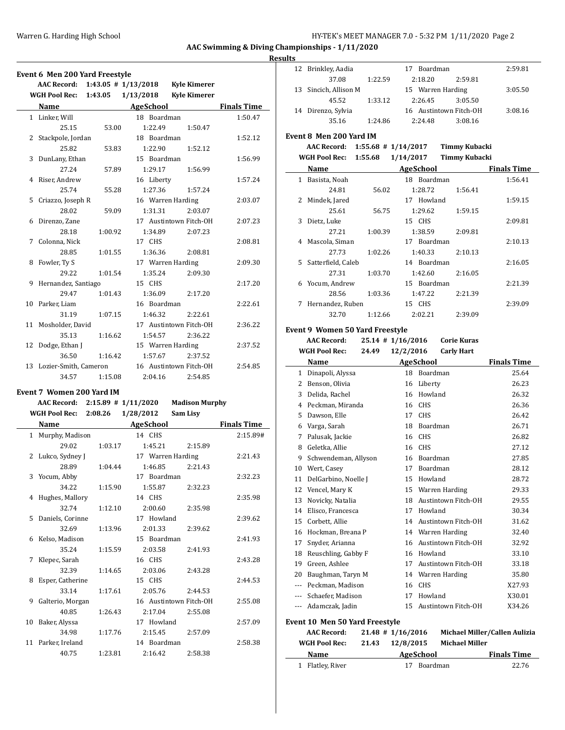### Warren G. Harding High School **Hy-TEK's MEET MANAGER 7.0 - 5:32 PM 1/11/2020** Page 2

**AAC Swimming & Diving Championships - 1/11/2020**

# **Results**

|   | <b>Event 6 Men 200 Yard Freestyle</b>        |                                           |                   |                               |                    |
|---|----------------------------------------------|-------------------------------------------|-------------------|-------------------------------|--------------------|
|   | AAC Record: 1:43.05 # 1/13/2018 Kyle Kimerer |                                           |                   |                               |                    |
|   | WGH Pool Rec:                                | 1:43.05                                   | 1/13/2018         | <b>Kyle Kimerer</b>           |                    |
|   | Name                                         | the control of the control of the control | <b>AgeSchool</b>  |                               | <b>Finals Time</b> |
|   | 1 Linker, Will                               |                                           | 18 Boardman       |                               | 1:50.47            |
|   | 25.15                                        | 53.00                                     | 1:22.49           | 1:50.47                       |                    |
|   | 2 Stackpole, Jordan                          |                                           | 18 Boardman       |                               | 1:52.12            |
|   | 25.82                                        | 53.83                                     | 1:22.90           | 1:52.12                       |                    |
|   | 3 DunLany, Ethan                             |                                           | 15 Boardman       |                               | 1:56.99            |
|   | 27.24                                        | 57.89                                     | 1:29.17           | 1:56.99                       |                    |
|   | 4 Riser, Andrew                              |                                           | 16 Liberty        |                               | 1:57.24            |
|   | 25.74                                        | 55.28                                     | 1:27.36           | 1:57.24                       |                    |
|   | 5 Criazzo, Joseph R                          |                                           | 16 Warren Harding |                               | 2:03.07            |
|   | 28.02                                        | 59.09                                     | 1:31.31           | 2:03.07                       |                    |
|   | 6 Direnzo, Zane                              |                                           |                   | 17 Austintown Fitch-OH        | 2:07.23            |
|   | 28.18                                        |                                           |                   |                               |                    |
|   |                                              | 1:00.92                                   | 1:34.89           | 2:07.23                       |                    |
|   | 7 Colonna, Nick                              |                                           | 17 CHS            |                               | 2:08.81            |
|   | 28.85                                        | 1:01.55                                   | 1:36.36           | 2:08.81                       |                    |
|   | 8 Fowler, Ty S                               |                                           | 17 Warren Harding |                               | 2:09.30            |
|   | 29.22                                        | 1:01.54                                   | 1:35.24           | 2:09.30                       |                    |
|   | 9 Hernandez, Santiago                        |                                           | 15 CHS            |                               | 2:17.20            |
|   | 29.47                                        | 1:01.43                                   | 1:36.09           | 2:17.20                       |                    |
|   | 10 Parker, Liam                              |                                           | 16 Boardman       |                               | 2:22.61            |
|   | 31.19                                        | 1:07.15                                   | 1:46.32           | 2:22.61                       |                    |
|   | 11 Mosholder, David                          |                                           |                   | 17 Austintown Fitch-OH        | 2:36.22            |
|   | 35.13                                        | 1:16.62                                   | 1:54.57           | 2:36.22                       |                    |
|   | 12 Dodge, Ethan J                            |                                           | 15 Warren Harding |                               | 2:37.52            |
|   | 36.50                                        | 1:16.42                                   | 1:57.67           | 2:37.52                       |                    |
|   | 13 Lozier-Smith, Cameron                     |                                           |                   | 16 Austintown Fitch-OH        | 2:54.85            |
|   | 34.57                                        | 1:15.08                                   | 2:04.16           | 2:54.85                       |                    |
|   |                                              |                                           |                   |                               |                    |
|   | <b>Event 7 Women 200 Yard IM</b>             |                                           |                   |                               |                    |
|   | AAC Record: 2:15.89 # 1/11/2020              |                                           |                   | <b>Madison Murphy</b>         |                    |
|   | <b>WGH Pool Rec: 2:08.26</b>                 |                                           | 1/28/2012         | Sam Lisy                      |                    |
|   | Name                                         |                                           |                   | <b>Example 2018</b> AgeSchool | <b>Finals Time</b> |
|   | 1 Murphy, Madison                            |                                           | 14 CHS            |                               | 2:15.89#           |
|   | 29.02                                        | 1:03.17                                   | 1:45.21           | 2:15.89                       |                    |
|   | 2 Lukco, Sydney J                            |                                           | 17 Warren Harding |                               | 2:21.43            |
|   | 28.89                                        | 1:04.44                                   | 1:46.85           | 2:21.43                       |                    |
|   | 3 Yocum, Abby                                |                                           | 17 Boardman       |                               | 2:32.23            |
|   | 34.22                                        | 1:15.90                                   | 1:55.87           | 2:32.23                       |                    |
| 4 | Hughes, Mallory                              |                                           | 14 CHS            |                               | 2:35.98            |
|   | 32.74                                        | 1:12.10                                   | 2:00.60           | 2:35.98                       |                    |
| 5 | Daniels, Corinne                             |                                           | 17 Howland        |                               | 2:39.62            |
|   | 32.69                                        | 1:13.96                                   | 2:01.33           | 2:39.62                       |                    |
| 6 | Kelso, Madison                               |                                           | 15 Boardman       |                               | 2:41.93            |
|   |                                              |                                           |                   |                               |                    |
|   | 35.24                                        | 1:15.59                                   | 2:03.58           | 2:41.93                       |                    |
| 7 | Klepec, Sarah                                |                                           | 16 CHS            |                               | 2:43.28            |
|   | 32.39                                        | 1:14.65                                   | 2:03.06           | 2:43.28                       |                    |
| 8 | Esper, Catherine                             |                                           | 15 CHS            |                               | 2:44.53            |
|   | 33.14                                        | 1:17.61                                   | 2:05.76           | 2:44.53                       |                    |
| 9 | Galterio, Morgan                             |                                           |                   | 16 Austintown Fitch-OH        | 2:55.08            |
|   | 40.85                                        | 1:26.43                                   | 2:17.04           | 2:55.08                       |                    |
|   | 10 Baker, Alyssa                             |                                           | 17 Howland        |                               | 2:57.09            |

34.98 1:17.76 2:15.45 2:57.09 11 Parker, Ireland 14 Boardman 2:58.38 40.75 1:23.81 2:16.42 2:58.38

| 12           | Brinkley, Aadia                 |         | 17 Boardman             |                        | 2:59.81                       |
|--------------|---------------------------------|---------|-------------------------|------------------------|-------------------------------|
|              | 37.08                           | 1:22.59 | 2:18.20                 | 2:59.81                |                               |
| 13           | Sincich, Allison M              |         |                         | 15 Warren Harding      | 3:05.50                       |
|              | 45.52                           | 1:33.12 | 2:26.45                 | 3:05.50                |                               |
| 14           | Direnzo, Sylvia                 |         |                         | 16 Austintown Fitch-OH | 3:08.16                       |
|              | 35.16                           | 1:24.86 | 2:24.48                 | 3:08.16                |                               |
|              |                                 |         |                         |                        |                               |
|              | Event 8 Men 200 Yard IM         |         |                         |                        |                               |
|              | <b>AAC Record:</b>              |         | $1:55.68$ # $1/14/2017$ | <b>Timmy Kubacki</b>   |                               |
|              | WGH Pool Rec:                   | 1:55.68 | 1/14/2017               | <b>Timmy Kubacki</b>   |                               |
|              | Name                            |         | AgeSchool               |                        | <b>Finals Time</b>            |
|              | 1 Basista, Noah                 |         | 18 Boardman             |                        | 1:56.41                       |
|              | 24.81                           | 56.02   | 1:28.72                 | 1:56.41                |                               |
| 2            | Mindek, Jared                   |         | 17 Howland              |                        | 1:59.15                       |
|              | 25.61                           | 56.75   | 1:29.62                 | 1:59.15                |                               |
| 3            | Dietz, Luke                     |         | 15 CHS                  |                        | 2:09.81                       |
|              | 27.21                           | 1:00.39 | 1:38.59                 | 2:09.81                |                               |
| 4            | Mascola, Siman                  |         | 17 Boardman             |                        | 2:10.13                       |
|              | 27.73                           | 1:02.26 | 1:40.33                 | 2:10.13                |                               |
| 5.           | Satterfield, Caleb              |         | 14 Boardman             |                        | 2:16.05                       |
|              | 27.31                           | 1:03.70 | 1:42.60                 | 2:16.05                |                               |
| 6            | Yocum, Andrew                   |         | 15 Boardman             |                        | 2:21.39                       |
|              | 28.56                           | 1:03.36 | 1:47.22                 | 2:21.39                |                               |
| 7            | Hernandez, Ruben                |         | 15 CHS                  |                        | 2:39.09                       |
|              | 32.70                           | 1:12.66 | 2:02.21                 | 2:39.09                |                               |
|              | Event 9 Women 50 Yard Freestyle |         |                         |                        |                               |
|              | <b>AAC Record:</b>              |         | $25.14$ # $1/16/2016$   | <b>Corie Kuras</b>     |                               |
|              | <b>WGH Pool Rec:</b>            | 24.49   | 12/2/2016               | <b>Carly Hart</b>      |                               |
|              | Name                            |         | AgeSchool               |                        | <b>Finals Time</b>            |
|              | 1 Dinapoli, Alyssa              |         | 18 Boardman             |                        | 25.64                         |
|              | 2 Benson, Olivia                |         | 16 Liberty              |                        | 26.23                         |
| 3            | Delida, Rachel                  |         | 16 Howland              |                        | 26.32                         |
|              |                                 |         |                         |                        |                               |
|              |                                 |         |                         |                        |                               |
|              | 4 Peckman, Miranda              |         | 16 CHS                  |                        | 26.36                         |
| 5            | Dawson, Elle                    |         | 17 CHS                  |                        | 26.42                         |
|              | 6 Varga, Sarah                  |         | 18 Boardman             |                        | 26.71                         |
|              | 7 Palusak, Jackie               |         | 16 CHS                  |                        | 26.82                         |
| 8            | Geletka, Allie                  |         | 16 CHS                  |                        | 27.12                         |
|              | 9 Schwendeman, Allyson          |         | 16 Boardman             |                        | 27.85                         |
|              | 10 Wert, Casey                  |         | 17 Boardman             |                        | 28.12                         |
|              | 11 DelGarbino, Noelle J         |         | 15 Howland              |                        | 28.72                         |
| 12           | Vencel, Mary K                  |         |                         | 15 Warren Harding      | 29.33                         |
| 13           | Novicky, Natalia                |         |                         | 18 Austintown Fitch-OH | 29.55                         |
| 14           | Elisco, Francesca               |         | 17 Howland              |                        | 30.34                         |
| 15           | Corbett, Allie                  |         |                         | 14 Austintown Fitch-OH | 31.62                         |
| 16           | Hockman, Breana P               |         |                         | 14 Warren Harding      | 32.40                         |
| 17           | Snyder, Arianna                 |         |                         | 16 Austintown Fitch-OH | 32.92                         |
| 18           | Reuschling, Gabby F             |         | 16 Howland              |                        | 33.10                         |
| 19           | Green, Ashlee                   |         |                         | 17 Austintown Fitch-OH | 33.18                         |
| 20           | Baughman, Taryn M               |         |                         | 14 Warren Harding      | 35.80                         |
|              | --- Peckman, Madison            |         | 16 CHS                  |                        | X27.93                        |
|              | --- Schaefer, Madison           |         | 17 Howland              |                        | X30.01                        |
|              | --- Adamczak, Jadin             |         |                         | 15 Austintown Fitch-OH | X34.26                        |
|              |                                 |         |                         |                        |                               |
|              | Event 10 Men 50 Yard Freestyle  |         |                         |                        |                               |
|              | AAC Record:                     |         | $21.48$ # $1/16/2016$   |                        | Michael Miller/Callen Aulizia |
|              | WGH Pool Rec:                   | 21.43   | 12/8/2015               | Michael Miller         |                               |
| $\mathbf{1}$ | Name<br>Flatley, River          |         | <b>AgeSchool</b><br>17  | Boardman               | <b>Finals Time</b><br>22.76   |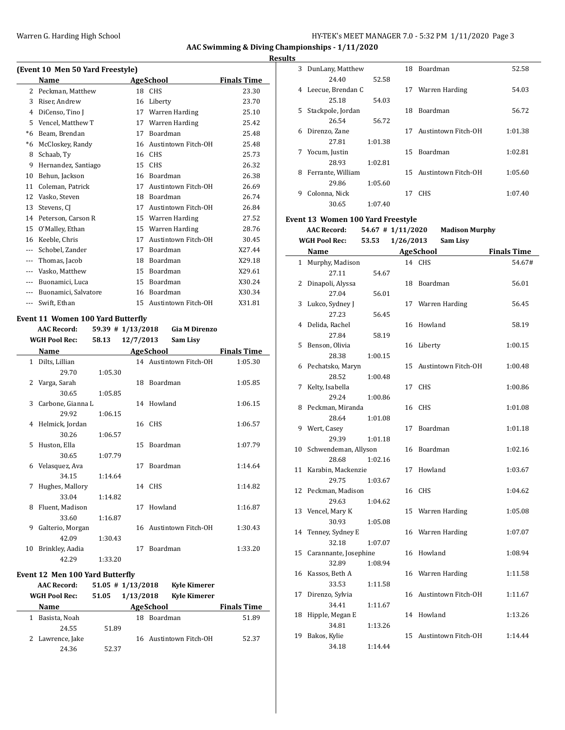#### **Results**

| (Event 10 Men 50 Yard Freestyle) |                      |    |                     |                    |  |  |  |
|----------------------------------|----------------------|----|---------------------|--------------------|--|--|--|
|                                  | Name                 |    | <b>AgeSchool</b>    | <b>Finals Time</b> |  |  |  |
| $\mathcal{L}$                    | Peckman, Matthew     | 18 | <b>CHS</b>          | 23.30              |  |  |  |
| 3                                | Riser, Andrew        | 16 | Liberty             | 23.70              |  |  |  |
| 4                                | DiCenso, Tino I      | 17 | Warren Harding      | 25.10              |  |  |  |
| 5                                | Vencel, Matthew T    | 17 | Warren Harding      | 25.42              |  |  |  |
| *6                               | Beam, Brendan        | 17 | <b>Boardman</b>     | 25.48              |  |  |  |
| *6                               | McCloskey, Randy     | 16 | Austintown Fitch-OH | 25.48              |  |  |  |
| 8                                | Schaab, Ty           | 16 | <b>CHS</b>          | 25.73              |  |  |  |
| 9                                | Hernandez, Santiago  | 15 | <b>CHS</b>          | 26.32              |  |  |  |
| 10                               | Behun, Jackson       | 16 | Boardman            | 26.38              |  |  |  |
| 11                               | Coleman, Patrick     | 17 | Austintown Fitch-OH | 26.69              |  |  |  |
| 12                               | Vasko, Steven        | 18 | Boardman            | 26.74              |  |  |  |
| 13                               | Stevens, CI          | 17 | Austintown Fitch-OH | 26.84              |  |  |  |
| 14                               | Peterson, Carson R   | 15 | Warren Harding      | 27.52              |  |  |  |
| 15                               | O'Malley, Ethan      | 15 | Warren Harding      | 28.76              |  |  |  |
| 16                               | Keeble, Chris        | 17 | Austintown Fitch-OH | 30.45              |  |  |  |
| $\overline{a}$                   | Schobel, Zander      | 17 | <b>Boardman</b>     | X27.44             |  |  |  |
| ---                              | Thomas, Jacob        | 18 | Boardman            | X29.18             |  |  |  |
| ---                              | Vasko, Matthew       | 15 | Boardman            | X29.61             |  |  |  |
| ---                              | Buonamici, Luca      | 15 | Boardman            | X30.24             |  |  |  |
| $---$                            | Buonamici, Salvatore | 16 | Boardman            | X30.34             |  |  |  |
| $---$                            | Swift, Ethan         | 15 | Austintown Fitch-OH | X31.81             |  |  |  |

#### **Event 11 Women 100 Yard Butterfly**

|    | <b>AAC Record:</b>   | 59.39 # 1/13/2018 |           | <b>Gia M Direnzo</b>   |                    |
|----|----------------------|-------------------|-----------|------------------------|--------------------|
|    | <b>WGH Pool Rec:</b> | 58.13             | 12/7/2013 | Sam Lisy               |                    |
|    | Name                 |                   |           | <b>AgeSchool</b>       | <b>Finals Time</b> |
|    | 1 Dilts, Lillian     |                   |           | 14 Austintown Fitch-OH | 1:05.30            |
|    | 29.70                | 1:05.30           |           |                        |                    |
| 2  | Varga, Sarah         |                   |           | 18 Boardman            | 1:05.85            |
|    | 30.65                | 1:05.85           |           |                        |                    |
| 3  | Carbone, Gianna L    |                   |           | 14 Howland             | 1:06.15            |
|    | 29.92                | 1:06.15           |           |                        |                    |
| 4  | Helmick, Jordan      |                   |           | 16 CHS                 | 1:06.57            |
|    | 30.26                | 1:06.57           |           |                        |                    |
| 5  | Huston, Ella         |                   |           | 15 Boardman            | 1:07.79            |
|    | 30.65                | 1:07.79           |           |                        |                    |
| 6  | Velasquez, Ava       |                   | 17        | <b>Boardman</b>        | 1:14.64            |
|    | 34.15                | 1:14.64           |           |                        |                    |
| 7  | Hughes, Mallory      |                   |           | 14 CHS                 | 1:14.82            |
|    | 33.04                | 1:14.82           |           |                        |                    |
| 8  | Fluent, Madison      |                   |           | 17 Howland             | 1:16.87            |
|    | 33.60                | 1:16.87           |           |                        |                    |
| 9  | Galterio, Morgan     |                   |           | 16 Austintown Fitch-OH | 1:30.43            |
|    | 42.09                | 1:30.43           |           |                        |                    |
| 10 | Brinkley, Aadia      |                   | 17        | <b>Boardman</b>        | 1:33.20            |
|    | 42.29                | 1:33.20           |           |                        |                    |

#### **Event 12 Men 100 Yard Butterfly**

| <b>AAC Record:</b>   | $51.05$ # $1/13/2018$ |           | <b>Kyle Kimerer</b>    |                    |
|----------------------|-----------------------|-----------|------------------------|--------------------|
| <b>WGH Pool Rec:</b> | 51.05                 | 1/13/2018 | <b>Kyle Kimerer</b>    |                    |
| Name                 |                       |           | <b>AgeSchool</b>       | <b>Finals Time</b> |
| Basista, Noah        |                       | 18        | Boardman               | 51.89              |
| 24.55                | 51.89                 |           |                        |                    |
| 2 Lawrence, Jake     |                       |           | 16 Austintown Fitch-OH | 52.37              |
| 24.36                | 52.37                 |           |                        |                    |

| 3            | DunLany, Matthew                         |                   |           | 18 Boardman           | 52.58              |
|--------------|------------------------------------------|-------------------|-----------|-----------------------|--------------------|
|              | 24.40                                    | 52.58             |           |                       |                    |
| 4            | Leecue, Brendan C                        |                   |           | 17 Warren Harding     | 54.03              |
|              | 25.18                                    | 54.03             |           |                       |                    |
| 5            | Stackpole, Jordan                        |                   | 18        | Boardman              | 56.72              |
|              | 26.54                                    | 56.72             |           |                       |                    |
| 6            | Direnzo, Zane                            |                   | 17        | Austintown Fitch-OH   | 1:01.38            |
|              | 27.81                                    | 1:01.38           |           |                       |                    |
| 7            | Yocum, Justin                            |                   | 15        | Boardman              | 1:02.81            |
|              | 28.93                                    | 1:02.81           |           |                       |                    |
| 8            | Ferrante, William                        |                   | 15        | Austintown Fitch-OH   | 1:05.60            |
|              | 29.86                                    | 1:05.60           |           |                       |                    |
| 9            | Colonna, Nick                            |                   |           | 17 CHS                | 1:07.40            |
|              | 30.65                                    | 1:07.40           |           |                       |                    |
|              | <b>Event 13 Women 100 Yard Freestyle</b> |                   |           |                       |                    |
|              | <b>AAC Record:</b>                       | 54.67 # 1/11/2020 |           | <b>Madison Murphy</b> |                    |
|              | <b>WGH Pool Rec:</b>                     | 53.53             | 1/26/2013 | Sam Lisy              |                    |
|              |                                          |                   |           |                       |                    |
|              | Name                                     |                   |           | <b>AgeSchool</b>      | <b>Finals Time</b> |
| $\mathbf{1}$ | Murphy, Madison                          |                   |           | 14 CHS                | 54.67#             |
|              | 27.11                                    | 54.67             |           |                       |                    |
| 2            | Dinapoli, Alyssa                         |                   |           | 18 Boardman           | 56.01              |
|              | 27.04                                    | 56.01             |           |                       |                    |
| 3            | Lukco, Sydney J                          |                   | 17        | Warren Harding        | 56.45              |
|              | 27.23                                    | 56.45             |           |                       |                    |
| 4            | Delida, Rachel                           |                   |           | 16 Howland            | 58.19              |
|              | 27.84                                    | 58.19             |           |                       |                    |
| 5            | Benson, Olivia                           |                   |           | 16 Liberty            | 1:00.15            |
|              | 28.38                                    | 1:00.15           |           |                       |                    |
| 6            | Pechatsko, Maryn                         |                   | 15        | Austintown Fitch-OH   | 1:00.48            |
|              | 28.52                                    | 1:00.48           |           |                       |                    |
| 7            | Kelty, Isabella                          |                   |           | 17 CHS                | 1:00.86            |
|              | 29.24                                    | 1:00.86           |           |                       |                    |
| 8            | Peckman, Miranda                         |                   |           | 16 CHS                | 1:01.08            |
|              | 28.64                                    | 1:01.08           |           |                       |                    |
| 9            | Wert, Casey                              |                   | 17        | Boardman              | 1:01.18            |
|              | 29.39                                    | 1:01.18           |           |                       |                    |
| 10           | Schwendeman, Allyson                     |                   |           | 16 Boardman           | 1:02.16            |
|              | 28.68                                    | 1:02.16           |           |                       |                    |
| 11           | Karabin, Mackenzie                       |                   | 17        | Howland               | 1:03.67            |
|              | 29.75                                    | 1:03.67           |           |                       |                    |
| 12           | Peckman, Madison                         |                   |           | 16 CHS                | 1:04.62            |
|              | 29.63                                    | 1:04.62           |           |                       |                    |
| 13           | Vencel, Mary K                           |                   |           | 15 Warren Harding     | 1:05.08            |
|              | 30.93                                    | 1:05.08           |           |                       |                    |
| 14           | Tenney, Sydney E                         |                   |           | 16 Warren Harding     | 1:07.07            |

32.18 1:07.07

32.89 1:08.94

33.53 1:11.58

34.41 1:11.67

34.81 1:13.26

34.18 1:14.44

15 Carannante, Josephine 16 Howland 1:08.94

16 Kassos, Beth A 16 Warren Harding 1:11.58

17 Direnzo, Sylvia 16 Austintown Fitch-OH 1:11.67

18 Hipple, Megan E 14 Howland 1:13.26

19 Bakos, Kylie 15 Austintown Fitch-OH 1:14.44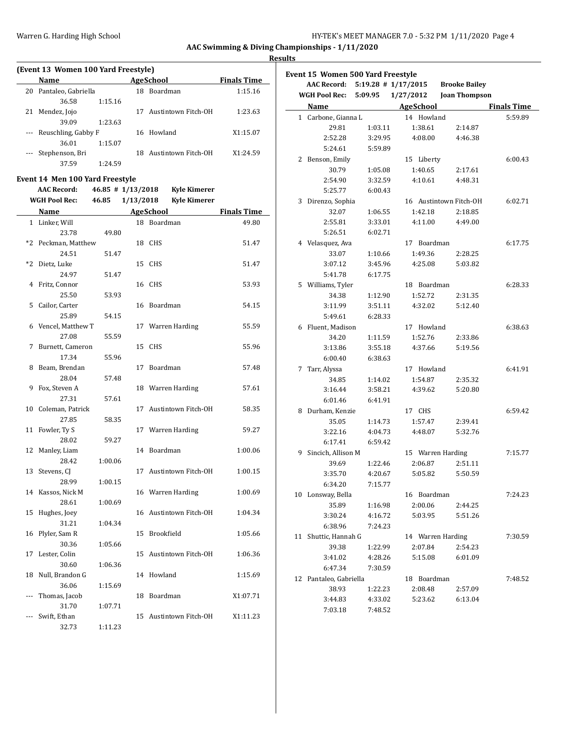$\overline{\phantom{a}}$ 

#### **Results**

| (Event 13 Women 100 Yard Freestyle) |                         |         |     |                     |                    |  |  |
|-------------------------------------|-------------------------|---------|-----|---------------------|--------------------|--|--|
|                                     | Name                    |         |     | <b>AgeSchool</b>    | <b>Finals Time</b> |  |  |
| 20                                  | Pantaleo, Gabriella     |         | 18  | Boardman            | 1:15.16            |  |  |
|                                     | 36.58                   | 1:15.16 |     |                     |                    |  |  |
| 21                                  | Mendez, Jojo            |         | 17  | Austintown Fitch-OH | 1:23.63            |  |  |
|                                     | 39.09                   | 1:23.63 |     |                     |                    |  |  |
|                                     | --- Reuschling, Gabby F |         |     | 16 Howland          | X1:15.07           |  |  |
|                                     | 36.01                   | 1:15.07 |     |                     |                    |  |  |
|                                     | Stephenson, Bri         |         | 18. | Austintown Fitch-OH | X1:24.59           |  |  |
|                                     | 37.59                   | 1:24.59 |     |                     |                    |  |  |

# **Event 14 Men 100 Yard Freestyle**

|                | <b>AAC Record:</b>         | 46.85 # 1/13/2018 |           | <b>Kyle Kimerer</b>    |                    |
|----------------|----------------------------|-------------------|-----------|------------------------|--------------------|
|                | <b>WGH Pool Rec:</b>       | 46.85             | 1/13/2018 | <b>Kyle Kimerer</b>    |                    |
|                | Name                       |                   |           | <b>AgeSchool</b>       | <b>Finals Time</b> |
|                | 1 Linker, Will             |                   |           | 18 Boardman            | 49.80              |
|                | 23.78                      | 49.80             |           |                        |                    |
| $*2$           | Peckman, Matthew           |                   |           | 18 CHS                 | 51.47              |
|                | 24.51                      | 51.47             |           |                        |                    |
| *2             | Dietz, Luke                |                   | 15        | <b>CHS</b>             | 51.47              |
|                | 24.97                      | 51.47             |           |                        |                    |
| 4              | Fritz, Connor              |                   |           | 16 CHS                 | 53.93              |
|                | 25.50                      | 53.93             |           |                        |                    |
| 5              | Cailor, Carter             |                   |           | 16 Boardman            | 54.15              |
|                | 25.89                      | 54.15             |           |                        |                    |
| 6              | Vencel, Matthew T          |                   | 17        | Warren Harding         | 55.59              |
|                | 27.08                      | 55.59             |           |                        |                    |
| 7              | Burnett, Cameron           |                   | 15        | <b>CHS</b>             | 55.96              |
|                | 17.34                      | 55.96             |           |                        |                    |
| 8              | Beam, Brendan              |                   | 17        | Boardman               | 57.48              |
|                | 28.04                      | 57.48             |           |                        |                    |
| 9              | Fox, Steven A              |                   | 18        | Warren Harding         | 57.61              |
|                | 27.31                      | 57.61             |           |                        |                    |
| 10             | Coleman, Patrick           |                   | 17        | Austintown Fitch-OH    | 58.35              |
|                | 27.85                      | 58.35             |           |                        |                    |
| 11             | Fowler, Ty S               |                   |           | 17 Warren Harding      | 59.27              |
|                | 28.02                      | 59.27             |           |                        |                    |
| 12             | Manley, Liam               |                   |           | 14 Boardman            | 1:00.06            |
|                | 28.42                      | 1:00.06           |           |                        |                    |
| 13             | Stevens, CJ                |                   |           | 17 Austintown Fitch-OH | 1:00.15            |
|                | 28.99                      | 1:00.15           |           |                        |                    |
|                | 14 Kassos, Nick M<br>28.61 |                   |           | 16 Warren Harding      | 1:00.69            |
| 15             | Hughes, Joey               | 1:00.69           |           | 16 Austintown Fitch-OH | 1:04.34            |
|                | 31.21                      | 1:04.34           |           |                        |                    |
| 16             | Plyler, Sam R              |                   | 15        | Brookfield             | 1:05.66            |
|                | 30.36                      | 1:05.66           |           |                        |                    |
| 17             | Lester, Colin              |                   | 15        | Austintown Fitch-OH    | 1:06.36            |
|                | 30.60                      | 1:06.36           |           |                        |                    |
| 18             | Null, Brandon G            |                   |           | 14 Howland             | 1:15.69            |
|                | 36.06                      | 1:15.69           |           |                        |                    |
| $\overline{a}$ | Thomas, Jacob              |                   |           | 18 Boardman            | X1:07.71           |
|                | 31.70                      | 1:07.71           |           |                        |                    |
| $---$          | Swift, Ethan               |                   |           | 15 Austintown Fitch-OH | X1:11.23           |
|                | 32.73                      | 1:11.23           |           |                        |                    |

|    | Event 15 Women 500 Yard Freestyle |                         |                   |                        |                    |
|----|-----------------------------------|-------------------------|-------------------|------------------------|--------------------|
|    | <b>AAC Record:</b>                | $5:19.28$ # $1/17/2015$ |                   | <b>Brooke Bailey</b>   |                    |
|    | <b>WGH Pool Rec:</b>              | 5:09.95                 | 1/27/2012         | <b>Joan Thompson</b>   |                    |
|    | Name                              |                         | <b>AgeSchool</b>  |                        | <b>Finals Time</b> |
|    | 1 Carbone, Gianna L               |                         | 14 Howland        |                        | 5:59.89            |
|    | 29.81                             | 1:03.11                 | 1:38.61           | 2:14.87                |                    |
|    | 2:52.28                           | 3:29.95                 | 4:08.00           | 4:46.38                |                    |
|    | 5:24.61                           | 5:59.89                 |                   |                        |                    |
| 2  | Benson, Emily                     |                         | 15 Liberty        |                        | 6:00.43            |
|    | 30.79                             | 1:05.08                 | 1:40.65           | 2:17.61                |                    |
|    | 2:54.90                           | 3:32.59                 | 4:10.61           | 4:48.31                |                    |
|    | 5:25.77                           | 6:00.43                 |                   |                        |                    |
| 3  | Direnzo, Sophia                   |                         |                   | 16 Austintown Fitch-OH | 6:02.71            |
|    | 32.07                             | 1:06.55                 | 1:42.18           | 2:18.85                |                    |
|    | 2:55.81                           | 3:33.01                 | 4:11.00           | 4:49.00                |                    |
|    | 5:26.51                           | 6:02.71                 |                   |                        |                    |
|    | 4 Velasquez, Ava                  |                         | 17 Boardman       |                        | 6:17.75            |
|    | 33.07                             | 1:10.66                 | 1:49.36           | 2:28.25                |                    |
|    | 3:07.12                           | 3:45.96                 | 4:25.08           | 5:03.82                |                    |
|    | 5:41.78                           | 6:17.75                 |                   |                        |                    |
|    | 5 Williams, Tyler                 |                         | 18 Boardman       |                        | 6:28.33            |
|    | 34.38                             | 1:12.90                 | 1:52.72           | 2:31.35                |                    |
|    | 3:11.99                           | 3:51.11                 | 4:32.02           | 5:12.40                |                    |
|    | 5:49.61                           | 6:28.33                 |                   |                        |                    |
|    | 6 Fluent, Madison                 |                         | 17 Howland        |                        | 6:38.63            |
|    | 34.20                             | 1:11.59                 | 1:52.76           | 2:33.86                |                    |
|    | 3:13.86                           | 3:55.18                 | 4:37.66           | 5:19.56                |                    |
|    | 6:00.40                           | 6:38.63                 |                   |                        |                    |
| 7  | Tarr, Alyssa                      |                         | 17 Howland        |                        | 6:41.91            |
|    | 34.85                             | 1:14.02                 | 1:54.87           | 2:35.32                |                    |
|    | 3:16.44                           | 3:58.21                 | 4:39.62           | 5:20.80                |                    |
|    | 6:01.46                           | 6:41.91                 |                   |                        |                    |
| 8  | Durham, Kenzie                    |                         | 17 CHS            |                        | 6:59.42            |
|    | 35.05                             | 1:14.73                 | 1:57.47           | 2:39.41                |                    |
|    | 3:22.16                           | 4:04.73                 | 4:48.07           | 5:32.76                |                    |
|    | 6:17.41                           | 6:59.42                 |                   |                        |                    |
| 9  | Sincich, Allison M                |                         | 15 Warren Harding |                        | 7:15.77            |
|    | 39.69                             | 1:22.46                 | 2:06.87           | 2:51.11                |                    |
|    | 3:35.70                           | 4:20.67                 | 5:05.82           | 5:50.59                |                    |
|    | 6:34.20                           | 7:15.77                 |                   |                        |                    |
|    | 10 Lonsway, Bella                 |                         | 16 Boardman       |                        | 7:24.23            |
|    | 35.89                             | 1:16.98                 | 2:00.06           | 2:44.25                |                    |
|    | 3:30.24                           | 4:16.72                 | 5:03.95           | 5:51.26                |                    |
|    | 6:38.96                           | 7:24.23                 |                   |                        |                    |
|    |                                   |                         |                   |                        |                    |
| 11 | Shuttic, Hannah G                 |                         | 14 Warren Harding |                        | 7:30.59            |
|    | 39.38<br>3:41.02                  | 1:22.99<br>4:28.26      | 2:07.84           | 2:54.23                |                    |
|    |                                   |                         | 5:15.08           | 6:01.09                |                    |
|    | 6:47.34                           | 7:30.59                 |                   |                        |                    |
| 12 | Pantaleo, Gabriella               |                         | 18 Boardman       |                        | 7:48.52            |
|    | 38.93                             | 1:22.23                 | 2:08.48           | 2:57.09                |                    |
|    | 3:44.83                           | 4:33.02                 | 5:23.62           | 6:13.04                |                    |
|    | 7:03.18                           | 7:48.52                 |                   |                        |                    |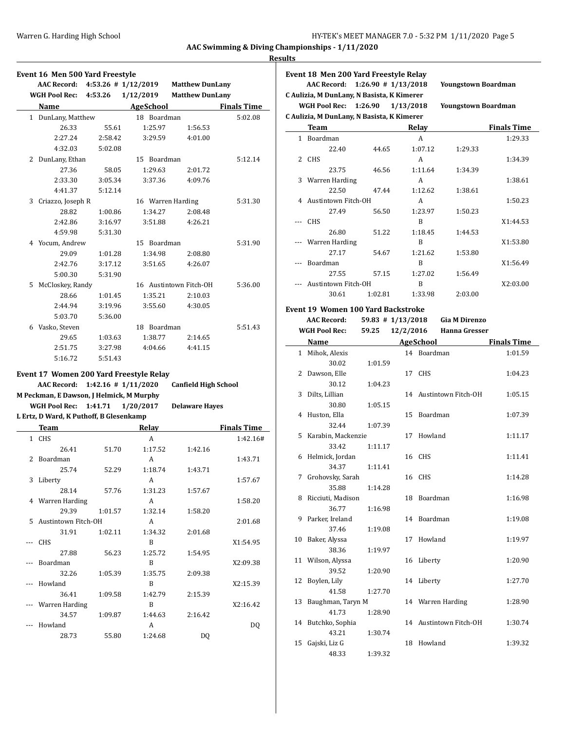# **Results**

|   | Event 16 Men 500 Yard Freestyle<br>AAC Record: 4:53.26 # 1/12/2019 |         |                   |                        |                    |
|---|--------------------------------------------------------------------|---------|-------------------|------------------------|--------------------|
|   |                                                                    |         |                   | <b>Matthew DunLany</b> |                    |
|   | <b>WGH Pool Rec:</b>                                               | 4:53.26 | 1/12/2019         | <b>Matthew DunLany</b> |                    |
|   | Name                                                               |         | AgeSchool         |                        | <b>Finals Time</b> |
|   | 1 DunLany, Matthew                                                 |         | 18 Boardman       |                        | 5:02.08            |
|   | 26.33                                                              | 55.61   | 1:25.97           | 1:56.53                |                    |
|   | 2:27.24                                                            | 2:58.42 | 3:29.59           | 4:01.00                |                    |
|   | 4:32.03                                                            | 5:02.08 |                   |                        |                    |
| 2 | DunLany, Ethan                                                     |         | 15 Boardman       |                        | 5:12.14            |
|   | 27.36                                                              | 58.05   | 1:29.63           | 2:01.72                |                    |
|   | 2:33.30                                                            | 3:05.34 | 3:37.36           | 4:09.76                |                    |
|   | 4:41.37                                                            | 5:12.14 |                   |                        |                    |
| 3 | Criazzo, Joseph R                                                  |         | 16 Warren Harding |                        | 5:31.30            |
|   | 28.82                                                              | 1:00.86 | 1:34.27           | 2:08.48                |                    |
|   | 2:42.86                                                            | 3:16.97 | 3:51.88           | 4:26.21                |                    |
|   | 4:59.98                                                            | 5:31.30 |                   |                        |                    |
|   | 4 Yocum, Andrew                                                    |         | 15 Boardman       |                        | 5:31.90            |
|   | 29.09                                                              | 1:01.28 | 1:34.98           | 2:08.80                |                    |
|   | 2:42.76                                                            | 3:17.12 | 3:51.65           | 4:26.07                |                    |
|   | 5:00.30                                                            | 5:31.90 |                   |                        |                    |
| 5 | McCloskey, Randy                                                   |         |                   | 16 Austintown Fitch-OH | 5:36.00            |
|   | 28.66                                                              | 1:01.45 | 1:35.21           | 2:10.03                |                    |
|   | 2:44.94                                                            | 3:19.96 | 3:55.60           | 4:30.05                |                    |
|   | 5:03.70                                                            | 5:36.00 |                   |                        |                    |
| 6 | Vasko, Steven                                                      |         | 18 Boardman       |                        | 5:51.43            |
|   | 29.65                                                              | 1:03.63 | 1:38.77           | 2:14.65                |                    |
|   | 2:51.75                                                            | 3:27.98 | 4:04.66           | 4:41.15                |                    |
|   | 5:16.72                                                            | 5:51.43 |                   |                        |                    |
|   | Event 17 Women 200 Yard Freestyle Relay                            |         |                   |                        |                    |

| AAC Record: 1:42.16 # 1/11/2020          |  |  | <b>Canfield High School</b> |  |  |  |
|------------------------------------------|--|--|-----------------------------|--|--|--|
| M Peckman, E Dawson, J Helmick, M Murphy |  |  |                             |  |  |  |
| WGH Pool Rec: 1:41.71 1/20/2017          |  |  | <b>Delaware Haves</b>       |  |  |  |
| L Ertz, D Ward, K Puthoff, B Glesenkamp  |  |  |                             |  |  |  |

|    | Team                |         | Relay   |         | <b>Finals Time</b> |
|----|---------------------|---------|---------|---------|--------------------|
| 1  | <b>CHS</b>          |         | A       |         | 1:42.16#           |
|    | 26.41               | 51.70   | 1:17.52 | 1:42.16 |                    |
| 2  | <b>Boardman</b>     |         | A       |         | 1:43.71            |
|    | 25.74               | 52.29   | 1:18.74 | 1:43.71 |                    |
| 3  | Liberty             |         | A       |         | 1:57.67            |
|    | 28.14               | 57.76   | 1:31.23 | 1:57.67 |                    |
| 4  | Warren Harding      |         | A       |         | 1:58.20            |
|    | 29.39               | 1:01.57 | 1:32.14 | 1:58.20 |                    |
| 5. | Austintown Fitch-OH |         | A       |         | 2:01.68            |
|    | 31.91               | 1:02.11 | 1:34.32 | 2:01.68 |                    |
|    | <b>CHS</b>          |         | B       |         | X1:54.95           |
|    | 27.88               | 56.23   | 1:25.72 | 1:54.95 |                    |
|    | Boardman            |         | B       |         | X2:09.38           |
|    | 32.26               | 1:05.39 | 1:35.75 | 2:09.38 |                    |
|    | Howland             |         | B       |         | X2:15.39           |
|    | 36.41               | 1:09.58 | 1:42.79 | 2:15.39 |                    |
|    | Warren Harding      |         | B       |         | X2:16.42           |
|    | 34.57               | 1:09.87 | 1:44.63 | 2:16.42 |                    |
|    | Howland             |         | A       |         | DQ                 |
|    | 28.73               | 55.80   | 1:24.68 | DQ      |                    |
|    |                     |         |         |         |                    |

|     | Event 18 Men 200 Yard Freestyle Relay<br><b>AAC Record:</b> | $1:26.90$ # $1/13/2018$ |           |                  | <b>Youngstown Boardman</b> |                    |
|-----|-------------------------------------------------------------|-------------------------|-----------|------------------|----------------------------|--------------------|
|     | C Aulizia, M DunLany, N Basista, K Kimerer                  |                         |           |                  |                            |                    |
|     | WGH Pool Rec:                                               | 1:26.90                 | 1/13/2018 |                  | <b>Youngstown Boardman</b> |                    |
|     | C Aulizia, M DunLany, N Basista, K Kimerer                  |                         |           |                  |                            |                    |
|     | Team                                                        |                         |           | Relay            |                            | <b>Finals Time</b> |
|     | 1 Boardman                                                  |                         |           | A                |                            | 1:29.33            |
|     | 22.40                                                       | 44.65                   |           | 1:07.12          | 1:29.33                    |                    |
|     | 2 CHS                                                       |                         |           | A                |                            | 1:34.39            |
|     | 23.75                                                       | 46.56                   |           | 1:11.64          | 1:34.39                    |                    |
|     | 3 Warren Harding                                            |                         |           | A                |                            | 1:38.61            |
|     | 22.50                                                       | 47.44                   |           | 1:12.62          | 1:38.61                    |                    |
|     | 4 Austintown Fitch-OH                                       |                         |           | A                |                            | 1:50.23            |
|     | 27.49                                                       | 56.50                   |           | 1:23.97          | 1:50.23                    |                    |
| --- | CHS                                                         |                         |           | B                |                            | X1:44.53           |
|     | 26.80                                                       | 51.22                   |           | 1:18.45          | 1:44.53                    |                    |
|     | Warren Harding                                              |                         |           | B                |                            | X1:53.80           |
|     | 27.17                                                       | 54.67                   |           | 1:21.62          | 1:53.80                    |                    |
| --- | Boardman                                                    |                         |           | B                |                            | X1:56.49           |
|     | 27.55                                                       | 57.15                   |           | 1:27.02          | 1:56.49                    |                    |
|     | Austintown Fitch-OH                                         |                         |           | B                |                            | X2:03.00           |
|     | 30.61                                                       | 1:02.81                 |           | 1:33.98          | 2:03.00                    |                    |
|     |                                                             |                         |           |                  |                            |                    |
|     | <b>Event 19 Women 100 Yard Backstroke</b>                   | $59.83$ # $1/13/2018$   |           |                  |                            |                    |
|     | <b>AAC Record:</b>                                          |                         |           |                  | <b>Gia M Direnzo</b>       |                    |
|     | <b>WGH Pool Rec:</b>                                        | 59.25                   | 12/2/2016 |                  | <b>Hanna Gresser</b>       |                    |
|     | Name                                                        |                         |           | <b>AgeSchool</b> |                            | <b>Finals Time</b> |
|     | 1 Mihok, Alexis                                             |                         |           | 14 Boardman      |                            | 1:01.59            |
|     | 30.02                                                       | 1:01.59                 |           |                  |                            |                    |
|     | 2 Dawson, Elle                                              |                         |           | 17 CHS           |                            | 1:04.23            |
|     | 30.12                                                       | 1:04.23                 |           |                  |                            |                    |
| 3   | Dilts, Lillian                                              |                         |           |                  | 14 Austintown Fitch-OH     | 1:05.15            |
|     | 30.80                                                       | 1:05.15                 |           |                  |                            |                    |
| 4   | Huston, Ella                                                |                         |           | 15 Boardman      |                            | 1:07.39            |
|     | 32.44                                                       | 1:07.39                 |           |                  |                            |                    |
| 5   | Karabin, Mackenzie                                          |                         |           | 17 Howland       |                            | 1:11.17            |
|     | 33.42                                                       | 1:11.17                 |           |                  |                            |                    |
| 6   | Helmick, Jordan                                             |                         |           | 16 CHS           |                            | 1:11.41            |
|     | 34.37                                                       | 1:11.41                 |           |                  |                            |                    |
| 7   | Grohovsky, Sarah                                            |                         |           | 16 CHS           |                            | 1:14.28            |
|     | 35.88                                                       | 1:14.28                 |           |                  |                            |                    |
| 8   | Ricciuti, Madison                                           |                         | 18        | Boardman         |                            | 1:16.98            |
|     | 36.77                                                       | 1:16.98                 |           |                  |                            |                    |
| 9   | Parker, Ireland                                             |                         | 14        | Boardman         |                            | 1:19.08            |
|     | 37.46                                                       | 1:19.08                 |           |                  |                            |                    |
| 10  | Baker, Alyssa                                               |                         | 17        | Howland          |                            | 1:19.97            |
|     | 38.36                                                       | 1:19.97                 |           |                  |                            |                    |
| 11  | Wilson, Alyssa                                              |                         | 16        | Liberty          |                            | 1:20.90            |
|     | 39.52                                                       | 1:20.90                 |           |                  |                            |                    |
| 12  | Boylen, Lily                                                |                         | 14        | Liberty          |                            | 1:27.70            |
|     | 41.58                                                       | 1:27.70                 |           |                  |                            |                    |
| 13  | Baughman, Taryn M                                           |                         |           |                  | 14 Warren Harding          | 1:28.90            |
|     | 41.73                                                       | 1:28.90                 |           |                  |                            |                    |
| 14  | Butchko, Sophia                                             |                         |           |                  | 14 Austintown Fitch-OH     | 1:30.74            |

43.21 1:30.74

48.33 1:39.32

15 Gajski, Liz G 18 Howland 1:39.32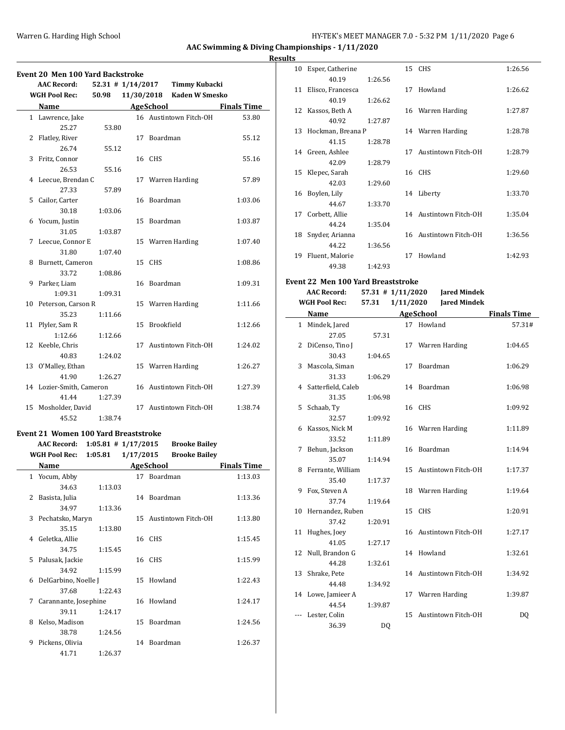#### Warren G. Harding High School **Hy-TEK's MEET MANAGER 7.0 - 5:32 PM 1/11/2020** Page 6

**AAC Swimming & Diving Championships - 1/11/2020**

# **Results**

| <b>Event 20 Men 100 Yard Backstroke</b> |                          |                       |            |                        |                    |
|-----------------------------------------|--------------------------|-----------------------|------------|------------------------|--------------------|
|                                         | <b>AAC Record:</b>       | $52.31$ # $1/14/2017$ |            | <b>Timmy Kubacki</b>   |                    |
|                                         | <b>WGH Pool Rec:</b>     | 50.98                 | 11/30/2018 | <b>Kaden W Smesko</b>  |                    |
|                                         | Name                     |                       |            | <b>AgeSchool</b>       | <b>Finals Time</b> |
|                                         | 1 Lawrence, Jake         |                       |            | 16 Austintown Fitch-OH | 53.80              |
|                                         | 25.27                    | 53.80                 |            |                        |                    |
|                                         | 2 Flatley, River         |                       |            | 17 Boardman            | 55.12              |
|                                         | 26.74                    | 55.12                 |            |                        |                    |
| 3                                       | Fritz, Connor            |                       |            | 16 CHS                 | 55.16              |
|                                         | 26.53                    | 55.16                 |            |                        |                    |
|                                         | 4 Leecue, Brendan C      |                       |            | 17 Warren Harding      | 57.89              |
|                                         | 27.33                    | 57.89                 |            |                        |                    |
|                                         | 5 Cailor, Carter         |                       |            | 16 Boardman            | 1:03.06            |
|                                         | 30.18                    | 1:03.06               |            |                        |                    |
|                                         | 6 Yocum, Justin          |                       |            | 15 Boardman            | 1:03.87            |
|                                         | 31.05                    | 1:03.87               |            |                        |                    |
|                                         | 7 Leecue, Connor E       |                       |            | 15 Warren Harding      | 1:07.40            |
|                                         | 31.80                    | 1:07.40               |            |                        |                    |
| 8                                       | Burnett, Cameron         |                       |            | 15 CHS                 | 1:08.86            |
|                                         | 33.72                    | 1:08.86               |            |                        |                    |
|                                         | 9 Parker, Liam           |                       |            | 16 Boardman            | 1:09.31            |
|                                         | 1:09.31                  | 1:09.31               |            |                        |                    |
|                                         | 10 Peterson, Carson R    |                       |            | 15 Warren Harding      | 1:11.66            |
|                                         | 35.23                    | 1:11.66               |            |                        |                    |
| 11                                      | Plyler, Sam R            |                       |            | 15 Brookfield          | 1:12.66            |
|                                         | 1:12.66                  | 1:12.66               |            |                        |                    |
|                                         | 12 Keeble, Chris         |                       |            | 17 Austintown Fitch-OH | 1:24.02            |
|                                         | 40.83                    | 1:24.02               |            |                        |                    |
|                                         | 13 O'Malley, Ethan       |                       |            | 15 Warren Harding      | 1:26.27            |
|                                         | 41.90                    | 1:26.27               |            |                        |                    |
|                                         | 14 Lozier-Smith, Cameron |                       |            | 16 Austintown Fitch-OH | 1:27.39            |
|                                         | 41.44                    | 1:27.39               |            |                        |                    |
|                                         | 15 Mosholder, David      |                       |            | 17 Austintown Fitch-OH | 1:38.74            |
|                                         | 45.52                    | 1:38.74               |            |                        |                    |

#### **Event 21 Women 100 Yard Breaststroke**

|    | <b>AAC Record:</b>    | $1:05.81$ # $1/17/2015$ |           | <b>Brooke Bailey</b>   |                    |
|----|-----------------------|-------------------------|-----------|------------------------|--------------------|
|    | <b>WGH Pool Rec:</b>  | 1:05.81                 | 1/17/2015 | <b>Brooke Bailey</b>   |                    |
|    | Name                  |                         |           | <b>AgeSchool</b>       | <b>Finals Time</b> |
|    | 1 Yocum, Abby         |                         |           | 17 Boardman            | 1:13.03            |
|    | 34.63                 | 1:13.03                 |           |                        |                    |
| 2  | Basista, Julia        |                         |           | 14 Boardman            | 1:13.36            |
|    | 34.97                 | 1:13.36                 |           |                        |                    |
| 3  | Pechatsko, Maryn      |                         |           | 15 Austintown Fitch-OH | 1:13.80            |
|    | 35.15                 | 1:13.80                 |           |                        |                    |
| 4  | Geletka, Allie        |                         |           | 16 CHS                 | 1:15.45            |
|    | 34.75                 | 1:15.45                 |           |                        |                    |
| 5. | Palusak, Jackie       |                         |           | 16 CHS                 | 1:15.99            |
|    | 34.92                 | 1:15.99                 |           |                        |                    |
| 6  | DelGarbino, Noelle J  |                         |           | 15 Howland             | 1:22.43            |
|    | 37.68                 | 1:22.43                 |           |                        |                    |
| 7  | Carannante, Josephine |                         |           | 16 Howland             | 1:24.17            |
|    | 39.11                 | 1:24.17                 |           |                        |                    |
| 8  | Kelso, Madison        |                         |           | 15 Boardman            | 1:24.56            |
|    | 38.78                 | 1:24.56                 |           |                        |                    |
| 9  | Pickens, Olivia       |                         |           | 14 Boardman            | 1:26.37            |
|    | 41.71                 | 1:26.37                 |           |                        |                    |

| 10 | Esper, Catherine  |         |    | 15 CHS                 | 1:26.56 |
|----|-------------------|---------|----|------------------------|---------|
|    | 40.19             | 1:26.56 |    |                        |         |
| 11 | Elisco, Francesca |         | 17 | Howland                | 1:26.62 |
|    | 40.19             | 1:26.62 |    |                        |         |
| 12 | Kassos, Beth A    |         |    | 16 Warren Harding      | 1:27.87 |
|    | 40.92             | 1:27.87 |    |                        |         |
| 13 | Hockman, Breana P |         |    | 14 Warren Harding      | 1:28.78 |
|    | 41.15             | 1:28.78 |    |                        |         |
| 14 | Green, Ashlee     |         | 17 | Austintown Fitch-OH    | 1:28.79 |
|    | 42.09             | 1:28.79 |    |                        |         |
| 15 | Klepec, Sarah     |         |    | 16 CHS                 | 1:29.60 |
|    | 42.03             | 1:29.60 |    |                        |         |
| 16 | Boylen, Lily      |         |    | 14 Liberty             | 1:33.70 |
|    | 44.67             | 1:33.70 |    |                        |         |
| 17 | Corbett, Allie    |         |    | 14 Austintown Fitch-OH | 1:35.04 |
|    | 44.24             | 1:35.04 |    |                        |         |
| 18 | Snyder, Arianna   |         |    | 16 Austintown Fitch-OH | 1:36.56 |
|    | 44.22             | 1:36.56 |    |                        |         |
| 19 | Fluent, Malorie   |         | 17 | Howland                | 1:42.93 |
|    | 49.38             | 1:42.93 |    |                        |         |

### **Event 22 Men 100 Yard Breaststroke**

**AAC Record: 57.31 # 1/11/2020 Jared Mindek**

**WGH Pool Rec: 57.31 1/11/2020 Jared Mindek**

|     | Name                 |                | <b>AgeSchool</b> | <b>Finals Time</b>         |                |
|-----|----------------------|----------------|------------------|----------------------------|----------------|
|     | 1 Mindek, Jared      |                |                  | 17 Howland                 | 57.31#         |
|     | 27.05                | 57.31          |                  |                            |                |
| 2   | DiCenso, Tino J      |                |                  | 17 Warren Harding          | 1:04.65        |
|     | 30.43                | 1:04.65        |                  |                            |                |
| 3   | Mascola, Siman       |                | 17               | Boardman                   | 1:06.29        |
|     | 31.33                | 1:06.29        |                  |                            |                |
|     | 4 Satterfield, Caleb |                |                  | 14 Boardman                | 1:06.98        |
|     | 31.35                | 1:06.98        |                  |                            |                |
| 5   | Schaab, Ty           |                |                  | 16 CHS                     | 1:09.92        |
|     | 32.57                | 1:09.92        |                  |                            |                |
| 6   | Kassos, Nick M       |                |                  | 16 Warren Harding          | 1:11.89        |
|     | 33.52                | 1:11.89        |                  |                            |                |
| 7   | Behun, Jackson       |                | 16               | Boardman                   | 1:14.94        |
|     | 35.07                | 1:14.94        |                  |                            |                |
| 8   | Ferrante, William    |                | 15               | Austintown Fitch-OH        | 1:17.37        |
|     | 35.40                | 1:17.37        |                  |                            |                |
| 9   | Fox, Steven A        |                | 18               | Warren Harding             | 1:19.64        |
|     | 37.74                | 1:19.64        |                  |                            |                |
|     | 10 Hernandez, Ruben  |                | 15               | CHS                        | 1:20.91        |
|     | 37.42                | 1:20.91        |                  |                            |                |
| 11  | Hughes, Joey         |                |                  | 16 Austintown Fitch-OH     | 1:27.17        |
|     | 41.05                | 1:27.17        |                  |                            |                |
|     | 12 Null, Brandon G   |                |                  | 14 Howland                 | 1:32.61        |
|     | 44.28                | 1:32.61        |                  |                            |                |
| 13  | Shrake, Pete         |                |                  | 14 Austintown Fitch-OH     | 1:34.92        |
|     | 44.48                | 1:34.92        |                  |                            |                |
|     | 14 Lowe, Jamieer A   |                |                  | 17 Warren Harding          | 1:39.87        |
|     | 44.54                | 1:39.87        |                  |                            |                |
| --- | Lester, Colin        |                | 15               | <b>Austintown Fitch-OH</b> | D <sub>0</sub> |
|     | 36.39                | D <sub>0</sub> |                  |                            |                |